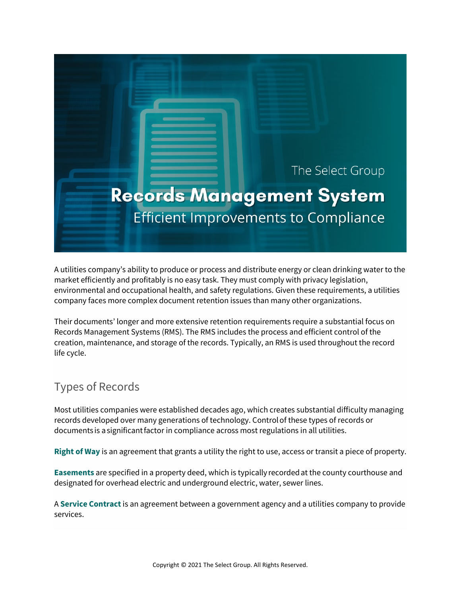

A utilities company's ability to produce or process and distribute energy or clean drinking water to the market efficiently and profitably is no easy task. They must comply with privacy legislation, environmental and occupational health, and safety regulations. Given these requirements, a utilities company faces more complex document retention issues than many other organizations.

Their documents' longer and more extensive retention requirements require a substantial focus on Records Management Systems (RMS). The RMS includes the process and efficient control of the creation, maintenance, and storage of the records. Typically, an RMS is used throughout the record life cycle.

## Types of Records

Most utilities companies were established decades ago, which creates substantial difficulty managing records developed over many generations of technology. Control of these types of records or documents is a significant factor in compliance across most regulations in all utilities.

**Right of Way** is an agreement that grants a utility the right to use, access or transit a piece of property.

**Easements** are specified in a property deed, which is typically recordedat the county courthouse and designated for overhead electric and underground electric, water, sewer lines.

A **Service Contract** is an agreement between a government agency and a utilities company to provide services.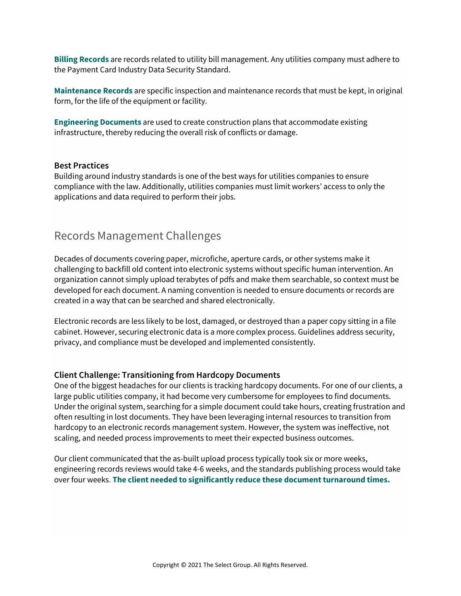**Billing Records** are records related to utility bill management. Any utilities company must adhere to the Payment Card Industry Data Security Standard.

**Maintenance Records** are specific inspection and maintenance records that must be kept, in original form, for the life of the equipment or facility.

**Engineering Documents** are used to create construction plans that accommodate existing infrastructure, thereby reducing the overall risk of conflicts or damage.

#### **Best Practices**

Building around industry standards is one of the best ways for utilities companies to ensure compliance with the law. Additionally, utilities companies must limit workers' access to only the applications and data required to perform their jobs.

## Records Management Challenges

Decades of documents covering paper, microfiche, aperture cards, or other systems make it challenging to backfill old content into electronic systems without specific human intervention. An organization cannot simply upload terabytes of pdfs and make them searchable, so context must be developed for each document. A naming convention is needed to ensure documents or records are created in a way that can be searched and shared electronically.

Electronic records are less likely to be lost, damaged, or destroyed than a paper copy sitting in a file cabinet. However, securing electronic data is a more complex process. Guidelines address security, privacy, and compliance must be developed and implemented consistently.

### **Client Challenge: Transitioning from Hardcopy Documents**

One of the biggest headaches for our clients is tracking hardcopy documents. For one of our clients, a large public utilities company, it had become very cumbersome for employees to find documents. Under the original system, searching for a simple document could take hours, creating frustration and often resulting in lost documents. They have been leveraging internal resources to transition from hardcopy to an electronic records management system. However, the system was ineffective, not scaling, and needed process improvements to meet their expected business outcomes.

Our client communicated that the as-built upload process typically took six or more weeks, engineering records reviews would take 4-6 weeks, and the standards publishing process would take over four weeks. **The client needed to significantly reduce these document turnaround times.**